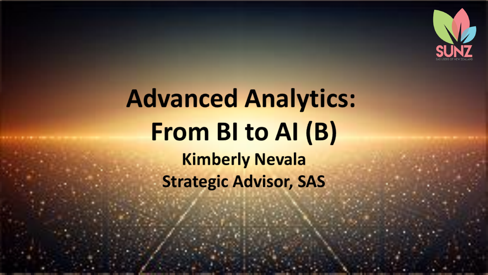

# **Advanced Analytics:** From BI to AI (B) **Kimberly Nevala Strategic Advisor, SAS**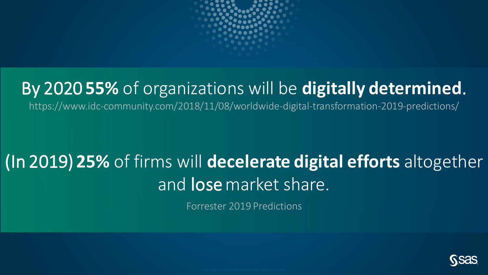

## By 2020 **55%** of organizations will be **digitally determined**.

https://www.idc-community.com/2018/11/08/worldwide-digital-transformation-2019-predictions/

## (In 2019) **25%** of firms will **decelerate digital efforts** altogether and **lose** market share.

Forrester 2019 Predictions

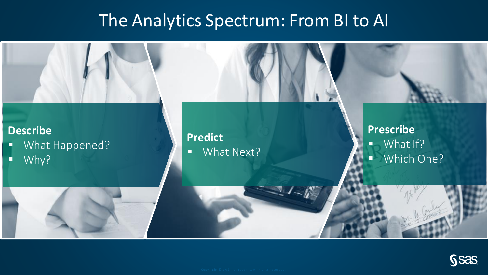## The Analytics Spectrum: From BI to AI



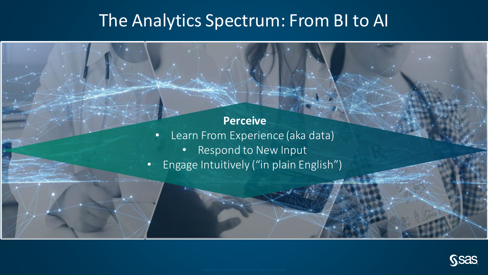## The Analytics Spectrum: From BI to AI

#### **Perceive**

- Learn From Experience (aka data)
	- Respond to New Input
- Engage Intuitively ("in plain English")

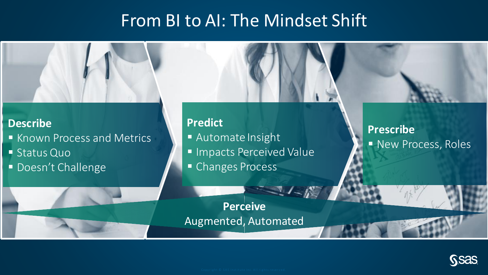### From BI to AI: The Mindset Shift



#### **Describe**

- **EXALLE ANGLE STARK INC.** FIRAL Metrics
- Status Quo
- **Doesn't Challenge**

#### **Predict**

- Automate Insight
- **Inpacts Perceived Value**
- **E** Changes Process

**Prescribe** ■ New Process, Roles

**Perceive** Augmented, Automated

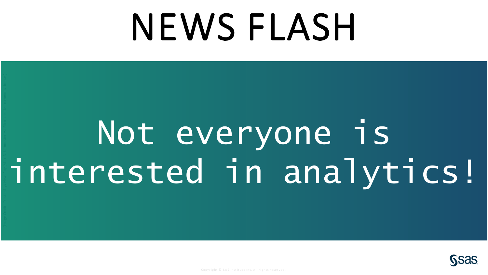# NEWS FLASH

# Not everyone is interested in analytics!

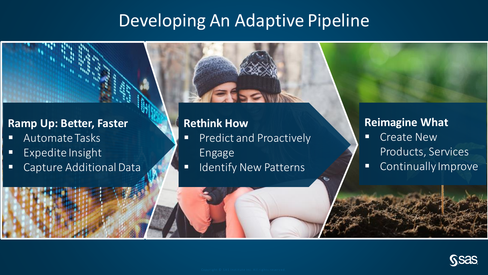## Developing An Adaptive Pipeline

#### **Ramp Up: Better, Faster**

- Automate Tasks
- Expedite Insight
- Capture Additional Data

#### **Rethink How**

- **Predict and Proactively** Engage
- **E** Identify New Patterns

#### **Reimagine What**

- Create New Products, Services
- Continually Improve

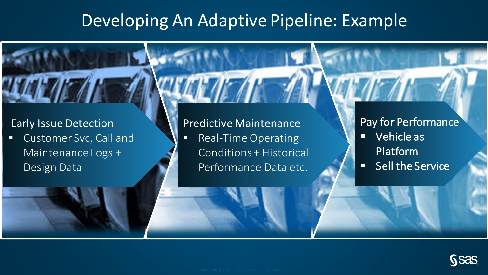## Developing An Adaptive Pipeline: Example

#### Early Issue Detection

■ Customer Svc, Call and Maintenance Logs + Design Data

#### Predictive Maintenance

■ Real-Time Operating Conditions + Historical Performance Data etc.

#### Pay for Performance

- Vehicle as Platform
- Sell the Service

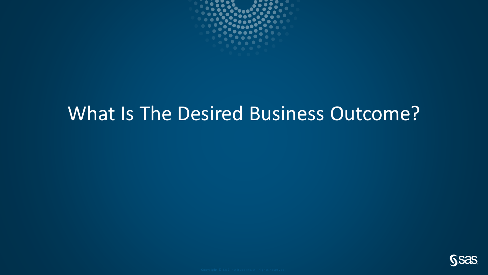

## What Is The Desired Business Outcome?